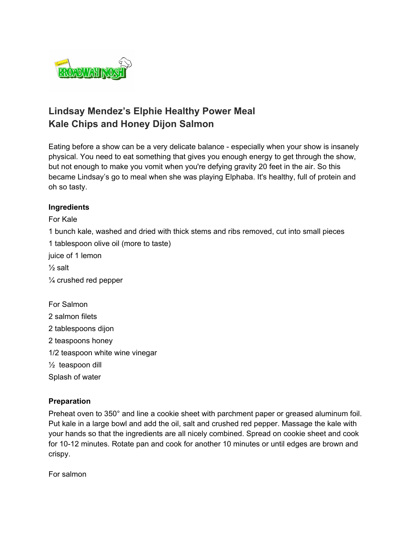

## **Lindsay Mendez's Elphie Healthy Power Meal Kale Chips and Honey Dijon Salmon**

Eating before a show can be a very delicate balance - especially when your show is insanely physical. You need to eat something that gives you enough energy to get through the show, but not enough to make you vomit when you're defying gravity 20 feet in the air. So this became Lindsay's go to meal when she was playing Elphaba. It's healthy, full of protein and oh so tasty.

## **Ingredients**

For Kale

1 bunch kale, washed and dried with thick stems and ribs removed, cut into small pieces

1 tablespoon olive oil (more to taste)

juice of 1 lemon

 $\frac{1}{2}$  salt

¼ crushed red pepper

For Salmon 2 salmon filets 2 tablespoons dijon 2 teaspoons honey 1/2 teaspoon white wine vinegar ½ teaspoon dill Splash of water

## **Preparation**

Preheat oven to 350° and line a cookie sheet with parchment paper or greased aluminum foil. Put kale in a large bowl and add the oil, salt and crushed red pepper. Massage the kale with your hands so that the ingredients are all nicely combined. Spread on cookie sheet and cook for 10-12 minutes. Rotate pan and cook for another 10 minutes or until edges are brown and crispy.

For salmon